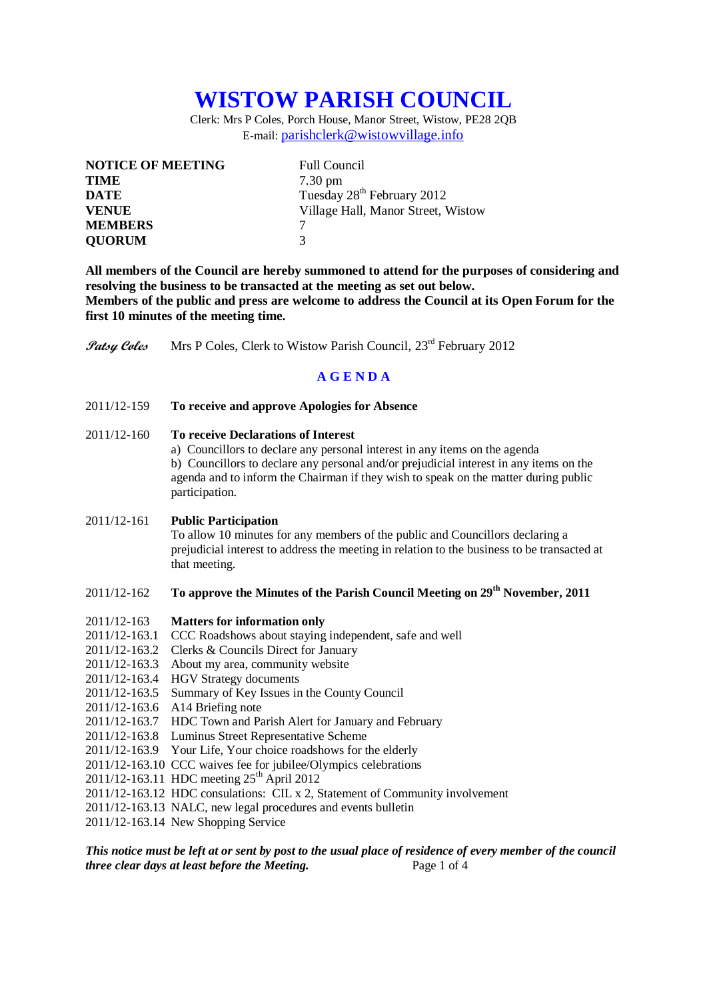# **WISTOW PARISH COUNCIL**

Clerk: Mrs P Coles, Porch House, Manor Street, Wistow, PE28 2QB E-mail: [parishclerk@wistowvillage.info](mailto:parishclerk@wistowvillage.info)

| <b>NOTICE OF MEETING</b> | <b>Full Council</b>                    |
|--------------------------|----------------------------------------|
| <b>TIME</b>              | $7.30 \text{ pm}$                      |
| <b>DATE</b>              | Tuesday 28 <sup>th</sup> February 2012 |
| <b>VENUE</b>             | Village Hall, Manor Street, Wistow     |
| <b>MEMBERS</b>           |                                        |
| <b>QUORUM</b>            | 3                                      |

**All members of the Council are hereby summoned to attend for the purposes of considering and resolving the business to be transacted at the meeting as set out below. Members of the public and press are welcome to address the Council at its Open Forum for the first 10 minutes of the meeting time.**

**Patsy Coles** Mrs P Coles, Clerk to Wistow Parish Council, 23<sup>rd</sup> February 2012

## **A G E N D A**

2011/12-159 **To receive and approve Apologies for Absence**

### 2011/12-160 **To receive Declarations of Interest**

a) Councillors to declare any personal interest in any items on the agenda b) Councillors to declare any personal and/or prejudicial interest in any items on the agenda and to inform the Chairman if they wish to speak on the matter during public participation.

#### 2011/12-161 **Public Participation**

To allow 10 minutes for any members of the public and Councillors declaring a prejudicial interest to address the meeting in relation to the business to be transacted at that meeting.

## 2011/12-162 **To approve the Minutes of the Parish Council Meeting on 29th November, 2011**

#### 2011/12-163 **Matters for information only**

- 2011/12-163.1 CCC Roadshows about staying independent, safe and well
- 2011/12-163.2 Clerks & Councils Direct for January
- 2011/12-163.3 About my area, community website
- 2011/12-163.4 HGV Strategy documents
- 2011/12-163.5 Summary of Key Issues in the County Council
- 2011/12-163.6 A14 Briefing note
- 2011/12-163.7 HDC Town and Parish Alert for January and February
- 2011/12-163.8 Luminus Street Representative Scheme
- 2011/12-163.9 Your Life, Your choice roadshows for the elderly
- 2011/12-163.10 CCC waives fee for jubilee/Olympics celebrations
- 2011/12-163.11 HDC meeting 25<sup>th</sup> April 2012
- 2011/12-163.12 HDC consulations: CIL x 2, Statement of Community involvement
- 2011/12-163.13 NALC, new legal procedures and events bulletin
- 2011/12-163.14 New Shopping Service

## *This notice must be left at or sent by post to the usual place of residence of every member of the council three clear days at least before the Meeting.* Page 1 of 4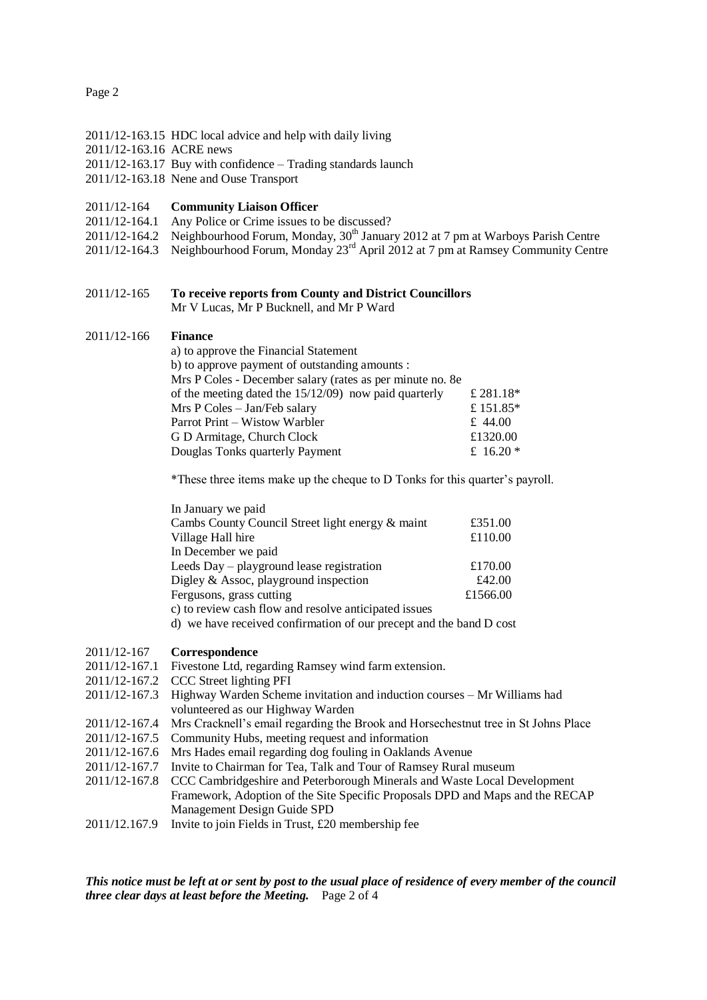#### Page 2

- 2011/12-163.15 HDC local advice and help with daily living
- 2011/12-163.16 ACRE news
- 2011/12-163.17 Buy with confidence Trading standards launch
- 2011/12-163.18 Nene and Ouse Transport

#### 2011/12-164 **Community Liaison Officer**

- 2011/12-164.1 Any Police or Crime issues to be discussed?
- 2011/12-164.2 Neighbourhood Forum, Monday,  $30<sup>th</sup>$  January 2012 at 7 pm at Warboys Parish Centre
- 2011/12-164.3 Neighbourhood Forum, Monday 23rd April 2012 at 7 pm at Ramsey Community Centre

# 2011/12-165 **To receive reports from County and District Councillors**

Mr V Lucas, Mr P Bucknell, and Mr P Ward

#### 2011/12-166 **Finance**

| a) to approve the Financial Statement                      |             |
|------------------------------------------------------------|-------------|
| b) to approve payment of outstanding amounts :             |             |
| Mrs P Coles - December salary (rates as per minute no. 8e) |             |
| of the meeting dated the $15/12/09$ now paid quarterly     | £ 281.18*   |
| Mrs P Coles - Jan/Feb salary                               | £151.85*    |
| Parrot Print – Wistow Warbler                              | £ 44.00     |
| G D Armitage, Church Clock                                 | £1320.00    |
| Douglas Tonks quarterly Payment                            | £ 16.20 $*$ |
|                                                            |             |

\*These three items make up the cheque to D Tonks for this quarter's payroll.

| In January we paid                               |          |
|--------------------------------------------------|----------|
| Cambs County Council Street light energy & maint | £351.00  |
| Village Hall hire                                | £110.00  |
| In December we paid                              |          |
| Leeds Day – playground lease registration        | £170.00  |
| Digley & Assoc, playground inspection            | £42.00   |
| Fergusons, grass cutting                         | £1566.00 |
|                                                  |          |

c) to review cash flow and resolve anticipated issues

d) we have received confirmation of our precept and the band D cost

#### 2011/12-167 **Correspondence**

- 2011/12-167.1 Fivestone Ltd, regarding Ramsey wind farm extension.
- 2011/12-167.2 CCC Street lighting PFI
- 2011/12-167.3 Highway Warden Scheme invitation and induction courses Mr Williams had volunteered as our Highway Warden
- 2011/12-167.4 Mrs Cracknell's email regarding the Brook and Horsechestnut tree in St Johns Place
- 2011/12-167.5 Community Hubs, meeting request and information
- 2011/12-167.6 Mrs Hades email regarding dog fouling in Oaklands Avenue
- 2011/12-167.7 Invite to Chairman for Tea, Talk and Tour of Ramsey Rural museum
- 2011/12-167.8 CCC Cambridgeshire and Peterborough Minerals and Waste Local Development Framework, Adoption of the Site Specific Proposals DPD and Maps and the RECAP Management Design Guide SPD
- 2011/12.167.9 Invite to join Fields in Trust, £20 membership fee

*This notice must be left at or sent by post to the usual place of residence of every member of the council three clear days at least before the Meeting.* Page 2 of 4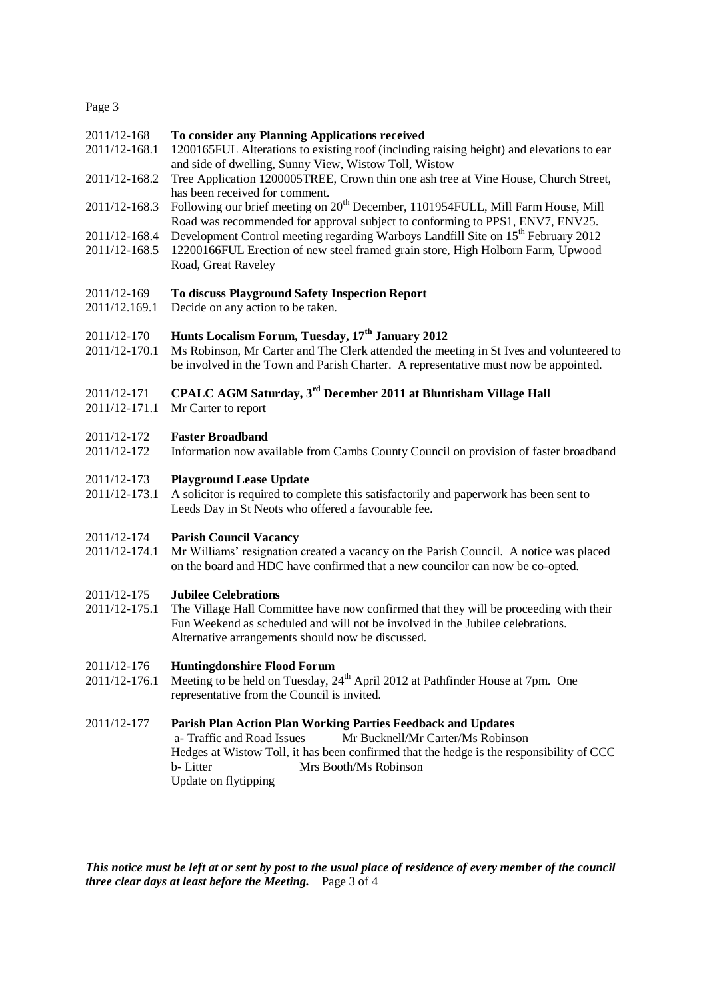Page 3

- 2011/12-168 **To consider any Planning Applications received**
- 2011/12-168.1 1200165FUL Alterations to existing roof (including raising height) and elevations to ear and side of dwelling, Sunny View, Wistow Toll, Wistow
- 2011/12-168.2 Tree Application 1200005TREE, Crown thin one ash tree at Vine House, Church Street, has been received for comment.
- 2011/12-168.3 Following our brief meeting on 20<sup>th</sup> December, 1101954FULL, Mill Farm House, Mill Road was recommended for approval subject to conforming to PPS1, ENV7, ENV25.
- 2011/12-168.4 Development Control meeting regarding Warboys Landfill Site on 15th February 2012
- 2011/12-168.5 12200166FUL Erection of new steel framed grain store, High Holborn Farm, Upwood Road, Great Raveley

#### 2011/12-169 **To discuss Playground Safety Inspection Report**

2011/12.169.1 Decide on any action to be taken.

# 2011/12-170 **Hunts Localism Forum, Tuesday, 17th January 2012**

2011/12-170.1 Ms Robinson, Mr Carter and The Clerk attended the meeting in St Ives and volunteered to be involved in the Town and Parish Charter. A representative must now be appointed.

# 2011/12-171 **CPALC AGM Saturday, 3rd December 2011 at Bluntisham Village Hall**

2011/12-171.1 Mr Carter to report

#### 2011/12-172 **Faster Broadband**

2011/12-172 Information now available from Cambs County Council on provision of faster broadband

#### 2011/12-173 **Playground Lease Update**

2011/12-173.1 A solicitor is required to complete this satisfactorily and paperwork has been sent to Leeds Day in St Neots who offered a favourable fee.

#### 2011/12-174 **Parish Council Vacancy**

2011/12-174.1 Mr Williams' resignation created a vacancy on the Parish Council. A notice was placed on the board and HDC have confirmed that a new councilor can now be co-opted.

# 2011/12-175 **Jubilee Celebrations**

The Village Hall Committee have now confirmed that they will be proceeding with their Fun Weekend as scheduled and will not be involved in the Jubilee celebrations. Alternative arrangements should now be discussed.

#### 2011/12-176 **Huntingdonshire Flood Forum**

2011/12-176.1 Meeting to be held on Tuesday, 24<sup>th</sup> April 2012 at Pathfinder House at 7pm. One representative from the Council is invited.

## 2011/12-177 **Parish Plan Action Plan Working Parties Feedback and Updates**

 a- Traffic and Road Issues Mr Bucknell/Mr Carter/Ms Robinson Hedges at Wistow Toll, it has been confirmed that the hedge is the responsibility of CCC b- Litter Mrs Booth/Ms Robinson Update on flytipping

*This notice must be left at or sent by post to the usual place of residence of every member of the council three clear days at least before the Meeting.* Page 3 of 4